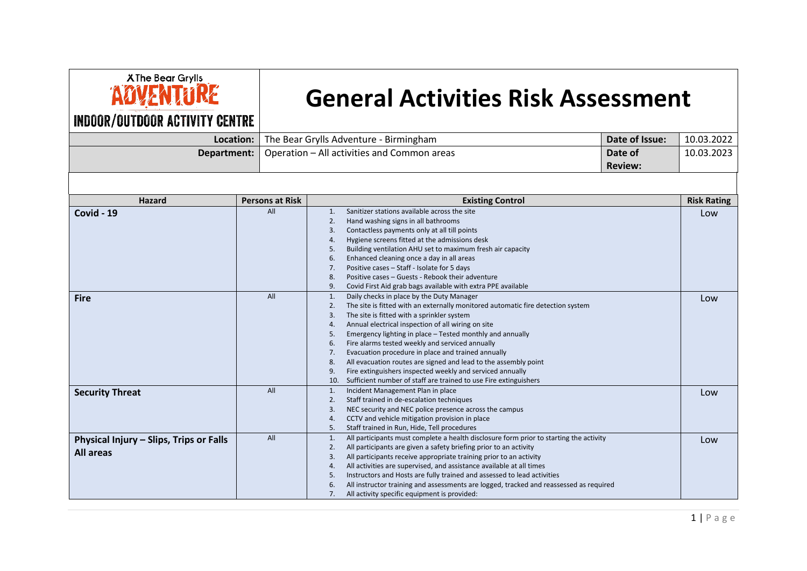| <b>XThe Bear Grylls</b> |  |
|-------------------------|--|
|                         |  |
|                         |  |

## **General Activities Risk Assessment**

## **INDOOR/OUTDOOR ACTIVITY CENTRE**

| Location:                                                   |                        | Date of Issue:<br>The Bear Grylls Adventure - Birmingham                                                                                                                                                                                                                                                                                                                                                                                                                                                                                                                                                                                                                | 10.03.2022         |
|-------------------------------------------------------------|------------------------|-------------------------------------------------------------------------------------------------------------------------------------------------------------------------------------------------------------------------------------------------------------------------------------------------------------------------------------------------------------------------------------------------------------------------------------------------------------------------------------------------------------------------------------------------------------------------------------------------------------------------------------------------------------------------|--------------------|
| Department:                                                 |                        | Operation - All activities and Common areas<br>Date of<br><b>Review:</b>                                                                                                                                                                                                                                                                                                                                                                                                                                                                                                                                                                                                | 10.03.2023         |
|                                                             |                        |                                                                                                                                                                                                                                                                                                                                                                                                                                                                                                                                                                                                                                                                         |                    |
| <b>Hazard</b>                                               | <b>Persons at Risk</b> | <b>Existing Control</b>                                                                                                                                                                                                                                                                                                                                                                                                                                                                                                                                                                                                                                                 | <b>Risk Rating</b> |
| Covid - 19                                                  | All                    | Sanitizer stations available across the site<br>1.<br>Hand washing signs in all bathrooms<br>2.<br>Contactless payments only at all till points<br>3.<br>Hygiene screens fitted at the admissions desk<br>4.<br>Building ventilation AHU set to maximum fresh air capacity<br>5.<br>Enhanced cleaning once a day in all areas<br>6.<br>Positive cases - Staff - Isolate for 5 days<br>7.<br>Positive cases - Guests - Rebook their adventure<br>8.<br>Covid First Aid grab bags available with extra PPE available<br>9.                                                                                                                                                | Low                |
| <b>Fire</b>                                                 | All                    | Daily checks in place by the Duty Manager<br>1.<br>The site is fitted with an externally monitored automatic fire detection system<br>2.<br>The site is fitted with a sprinkler system<br>3.<br>Annual electrical inspection of all wiring on site<br>4.<br>Emergency lighting in place - Tested monthly and annually<br>5.<br>Fire alarms tested weekly and serviced annually<br>6.<br>Evacuation procedure in place and trained annually<br>7.<br>All evacuation routes are signed and lead to the assembly point<br>8.<br>Fire extinguishers inspected weekly and serviced annually<br>9.<br>Sufficient number of staff are trained to use Fire extinguishers<br>10. | Low                |
| <b>Security Threat</b>                                      | All                    | Incident Management Plan in place<br>1.<br>Staff trained in de-escalation techniques<br>2.<br>NEC security and NEC police presence across the campus<br>3.<br>CCTV and vehicle mitigation provision in place<br>4.<br>Staff trained in Run, Hide, Tell procedures<br>5.                                                                                                                                                                                                                                                                                                                                                                                                 | Low                |
| Physical Injury - Slips, Trips or Falls<br><b>All areas</b> | All                    | All participants must complete a health disclosure form prior to starting the activity<br>1.<br>All participants are given a safety briefing prior to an activity<br>2.<br>All participants receive appropriate training prior to an activity<br>3.<br>All activities are supervised, and assistance available at all times<br>4.<br>Instructors and Hosts are fully trained and assessed to lead activities<br>5.<br>All instructor training and assessments are logged, tracked and reassessed as required<br>6.<br>All activity specific equipment is provided:<br>7.                                                                                                | Low                |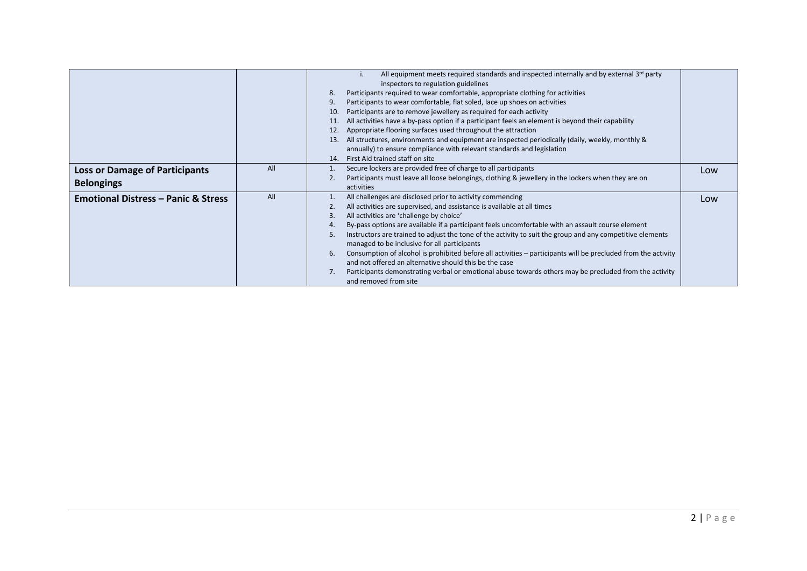|                                                            |     | All equipment meets required standards and inspected internally and by external $3rd$ party<br>inspectors to regulation guidelines<br>Participants required to wear comfortable, appropriate clothing for activities<br>8.<br>Participants to wear comfortable, flat soled, lace up shoes on activities<br>Participants are to remove jewellery as required for each activity<br>10.<br>All activities have a by-pass option if a participant feels an element is beyond their capability<br>11.<br>Appropriate flooring surfaces used throughout the attraction<br>12.<br>All structures, environments and equipment are inspected periodically (daily, weekly, monthly &<br>13.<br>annually) to ensure compliance with relevant standards and legislation<br>First Aid trained staff on site<br>14. |     |
|------------------------------------------------------------|-----|-------------------------------------------------------------------------------------------------------------------------------------------------------------------------------------------------------------------------------------------------------------------------------------------------------------------------------------------------------------------------------------------------------------------------------------------------------------------------------------------------------------------------------------------------------------------------------------------------------------------------------------------------------------------------------------------------------------------------------------------------------------------------------------------------------|-----|
| <b>Loss or Damage of Participants</b><br><b>Belongings</b> | All | Secure lockers are provided free of charge to all participants<br>Participants must leave all loose belongings, clothing & jewellery in the lockers when they are on<br>activities                                                                                                                                                                                                                                                                                                                                                                                                                                                                                                                                                                                                                    | Low |
| <b>Emotional Distress - Panic &amp; Stress</b>             | All | All challenges are disclosed prior to activity commencing<br>All activities are supervised, and assistance is available at all times<br>All activities are 'challenge by choice'<br>3.<br>By-pass options are available if a participant feels uncomfortable with an assault course element<br>4.<br>Instructors are trained to adjust the tone of the activity to suit the group and any competitive elements<br>5.<br>managed to be inclusive for all participants<br>Consumption of alcohol is prohibited before all activities – participants will be precluded from the activity<br>6.<br>and not offered an alternative should this be the case<br>Participants demonstrating verbal or emotional abuse towards others may be precluded from the activity<br>and removed from site              | Low |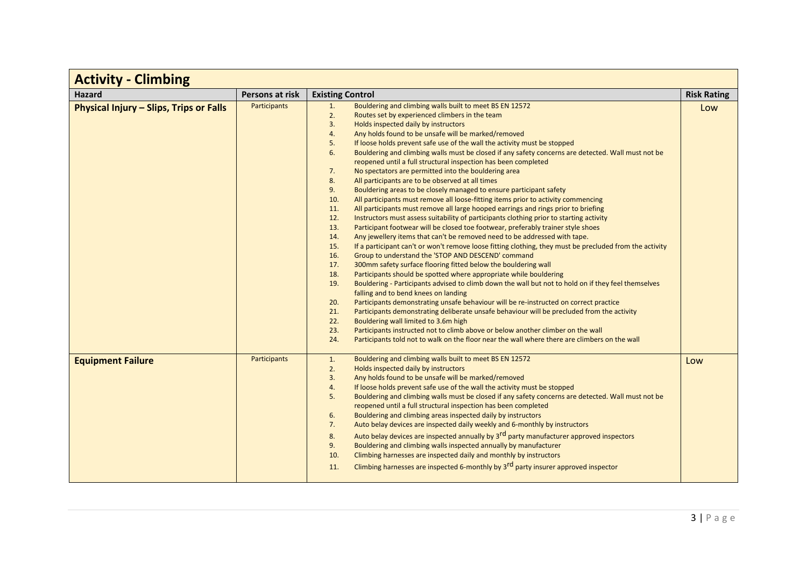| <b>Activity - Climbing</b>              |                 |                                                                                                                                                                                                                                                                                                                                                                                                                                                                                                                                                                                                                                                                                                                                                                                                                                                                                                                                                                                                                                                                                                                                                                                                                                                                                                                                                                                                                                                                                                                                                                                                                                                                                                                                                                                                                                                                                                                                                                                                                                                                                                                                 |                    |
|-----------------------------------------|-----------------|---------------------------------------------------------------------------------------------------------------------------------------------------------------------------------------------------------------------------------------------------------------------------------------------------------------------------------------------------------------------------------------------------------------------------------------------------------------------------------------------------------------------------------------------------------------------------------------------------------------------------------------------------------------------------------------------------------------------------------------------------------------------------------------------------------------------------------------------------------------------------------------------------------------------------------------------------------------------------------------------------------------------------------------------------------------------------------------------------------------------------------------------------------------------------------------------------------------------------------------------------------------------------------------------------------------------------------------------------------------------------------------------------------------------------------------------------------------------------------------------------------------------------------------------------------------------------------------------------------------------------------------------------------------------------------------------------------------------------------------------------------------------------------------------------------------------------------------------------------------------------------------------------------------------------------------------------------------------------------------------------------------------------------------------------------------------------------------------------------------------------------|--------------------|
| <b>Hazard</b>                           | Persons at risk | <b>Existing Control</b>                                                                                                                                                                                                                                                                                                                                                                                                                                                                                                                                                                                                                                                                                                                                                                                                                                                                                                                                                                                                                                                                                                                                                                                                                                                                                                                                                                                                                                                                                                                                                                                                                                                                                                                                                                                                                                                                                                                                                                                                                                                                                                         | <b>Risk Rating</b> |
| Physical Injury - Slips, Trips or Falls | Participants    | 1.<br>Bouldering and climbing walls built to meet BS EN 12572<br>2.<br>Routes set by experienced climbers in the team<br>3.<br>Holds inspected daily by instructors<br>Any holds found to be unsafe will be marked/removed<br>4.<br>If loose holds prevent safe use of the wall the activity must be stopped<br>5.<br>6.<br>Bouldering and climbing walls must be closed if any safety concerns are detected. Wall must not be<br>reopened until a full structural inspection has been completed<br>7.<br>No spectators are permitted into the bouldering area<br>8.<br>All participants are to be observed at all times<br>9.<br>Bouldering areas to be closely managed to ensure participant safety<br>10.<br>All participants must remove all loose-fitting items prior to activity commencing<br>All participants must remove all large hooped earrings and rings prior to briefing<br>11.<br>12.<br>Instructors must assess suitability of participants clothing prior to starting activity<br>13.<br>Participant footwear will be closed toe footwear, preferably trainer style shoes<br>Any jewellery items that can't be removed need to be addressed with tape.<br>14.<br>If a participant can't or won't remove loose fitting clothing, they must be precluded from the activity<br>15.<br>16.<br>Group to understand the 'STOP AND DESCEND' command<br>300mm safety surface flooring fitted below the bouldering wall<br>17.<br>18.<br>Participants should be spotted where appropriate while bouldering<br>19.<br>Bouldering - Participants advised to climb down the wall but not to hold on if they feel themselves<br>falling and to bend knees on landing<br>Participants demonstrating unsafe behaviour will be re-instructed on correct practice<br>20.<br>Participants demonstrating deliberate unsafe behaviour will be precluded from the activity<br>21.<br>22.<br>Bouldering wall limited to 3.6m high<br>Participants instructed not to climb above or below another climber on the wall<br>23.<br>Participants told not to walk on the floor near the wall where there are climbers on the wall<br>24. | Low                |
| <b>Equipment Failure</b>                | Participants    | Bouldering and climbing walls built to meet BS EN 12572<br>1.<br>Holds inspected daily by instructors<br>2.<br>3.<br>Any holds found to be unsafe will be marked/removed<br>If loose holds prevent safe use of the wall the activity must be stopped<br>4.<br>5.<br>Bouldering and climbing walls must be closed if any safety concerns are detected. Wall must not be<br>reopened until a full structural inspection has been completed<br>6.<br>Bouldering and climbing areas inspected daily by instructors<br>7.<br>Auto belay devices are inspected daily weekly and 6-monthly by instructors<br>Auto belay devices are inspected annually by 3 <sup>rd</sup> party manufacturer approved inspectors<br>8.<br>9.<br>Bouldering and climbing walls inspected annually by manufacturer<br>Climbing harnesses are inspected daily and monthly by instructors<br>10.<br>Climbing harnesses are inspected 6-monthly by 3 <sup>rd</sup> party insurer approved inspector<br>11.                                                                                                                                                                                                                                                                                                                                                                                                                                                                                                                                                                                                                                                                                                                                                                                                                                                                                                                                                                                                                                                                                                                                                  | Low                |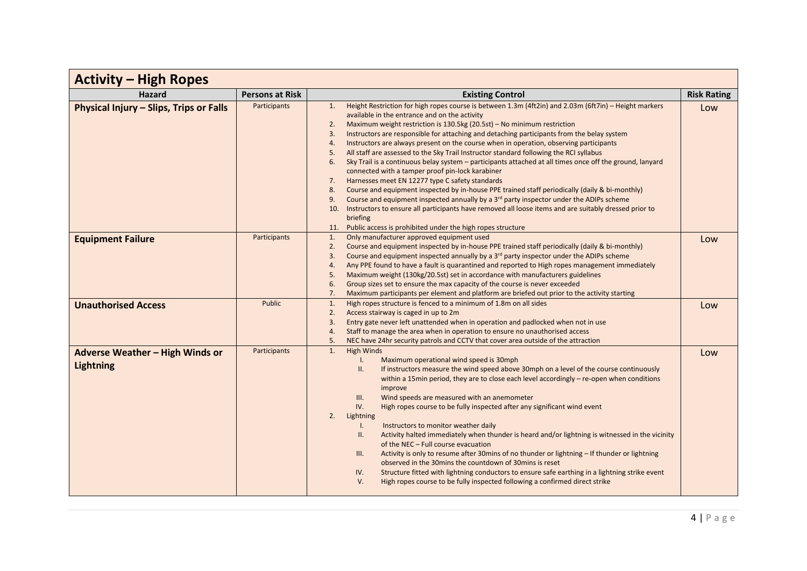| <b>Activity - High Ropes</b>                               |                        |                                                                                                                                                                                                                                                                                                                                                                                                                                                                                                                                                                                                                                                                                                                                                                                                                                                                                                                                                                                                                                                                                                                                                                                                  |                    |
|------------------------------------------------------------|------------------------|--------------------------------------------------------------------------------------------------------------------------------------------------------------------------------------------------------------------------------------------------------------------------------------------------------------------------------------------------------------------------------------------------------------------------------------------------------------------------------------------------------------------------------------------------------------------------------------------------------------------------------------------------------------------------------------------------------------------------------------------------------------------------------------------------------------------------------------------------------------------------------------------------------------------------------------------------------------------------------------------------------------------------------------------------------------------------------------------------------------------------------------------------------------------------------------------------|--------------------|
| <b>Hazard</b>                                              | <b>Persons at Risk</b> | <b>Existing Control</b>                                                                                                                                                                                                                                                                                                                                                                                                                                                                                                                                                                                                                                                                                                                                                                                                                                                                                                                                                                                                                                                                                                                                                                          | <b>Risk Rating</b> |
| Physical Injury - Slips, Trips or Falls                    | Participants           | Height Restriction for high ropes course is between 1.3m (4ft2in) and 2.03m (6ft7in) - Height markers<br>1.<br>available in the entrance and on the activity<br>Maximum weight restriction is 130.5kg (20.5st) - No minimum restriction<br>2.<br>Instructors are responsible for attaching and detaching participants from the belay system<br>3.<br>Instructors are always present on the course when in operation, observing participants<br>4.<br>All staff are assessed to the Sky Trail Instructor standard following the RCI syllabus<br>5.<br>Sky Trail is a continuous belay system – participants attached at all times once off the ground, lanyard<br>6.<br>connected with a tamper proof pin-lock karabiner<br>Harnesses meet EN 12277 type C safety standards<br>7.<br>Course and equipment inspected by in-house PPE trained staff periodically (daily & bi-monthly)<br>8.<br>Course and equipment inspected annually by a 3 <sup>rd</sup> party inspector under the ADIPs scheme<br>9.<br>10. Instructors to ensure all participants have removed all loose items and are suitably dressed prior to<br>briefing<br>11. Public access is prohibited under the high ropes structure | Low                |
| <b>Equipment Failure</b><br><b>Unauthorised Access</b>     | Participants<br>Public | 1.<br>Only manufacturer approved equipment used<br>Course and equipment inspected by in-house PPE trained staff periodically (daily & bi-monthly)<br>2.<br>Course and equipment inspected annually by a 3 <sup>rd</sup> party inspector under the ADIPs scheme<br>3.<br>Any PPE found to have a fault is quarantined and reported to High ropes management immediately<br>4.<br>Maximum weight (130kg/20.5st) set in accordance with manufacturers guidelines<br>5.<br>Group sizes set to ensure the max capacity of the course is never exceeded<br>6.<br>7.<br>Maximum participants per element and platform are briefed out prior to the activity starting<br>High ropes structure is fenced to a minimum of 1.8m on all sides<br>1.<br>Access stairway is caged in up to 2m<br>2.<br>Entry gate never left unattended when in operation and padlocked when not in use<br>3.                                                                                                                                                                                                                                                                                                                  | Low<br>Low         |
|                                                            |                        | Staff to manage the area when in operation to ensure no unauthorised access<br>4.<br>NEC have 24hr security patrols and CCTV that cover area outside of the attraction<br>5.                                                                                                                                                                                                                                                                                                                                                                                                                                                                                                                                                                                                                                                                                                                                                                                                                                                                                                                                                                                                                     |                    |
| <b>Adverse Weather - High Winds or</b><br><b>Lightning</b> | Participants           | <b>High Winds</b><br>$\mathbf{1}$ .<br>Maximum operational wind speed is 30mph<br>$\mathbf{L}$<br>If instructors measure the wind speed above 30mph on a level of the course continuously<br>Ш.<br>within a 15 $\text{min}$ period, they are to close each level accordingly – re-open when conditions<br>improve<br>Wind speeds are measured with an anemometer<br>III.<br>IV.<br>High ropes course to be fully inspected after any significant wind event<br>2.<br>Lightning<br>Instructors to monitor weather daily<br>$\mathsf{L}$<br>Activity halted immediately when thunder is heard and/or lightning is witnessed in the vicinity<br>ΙΙ.<br>of the NEC - Full course evacuation<br>Activity is only to resume after 30mins of no thunder or lightning - If thunder or lightning<br>III.<br>observed in the 30mins the countdown of 30mins is reset<br>Structure fitted with lightning conductors to ensure safe earthing in a lightning strike event<br>IV.<br>High ropes course to be fully inspected following a confirmed direct strike<br>V.                                                                                                                                         | Low                |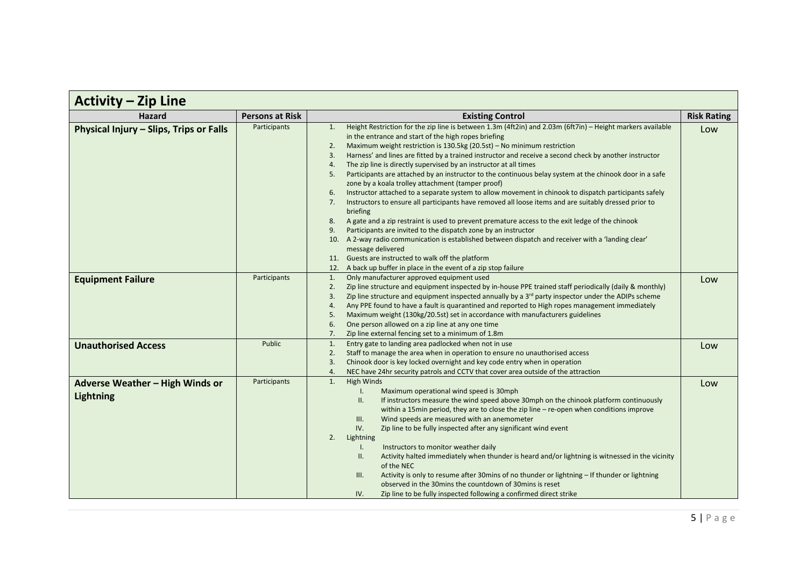| <b>Activity - Zip Line</b>                          |                        |                                                                                                                                                                                                                                                                                                                                                                                                                                                                                                                                                                                                                                                                                                                                                                                                                                                                                                                                                                                                                                                                                                                                                                                                                                                                                                                |                    |
|-----------------------------------------------------|------------------------|----------------------------------------------------------------------------------------------------------------------------------------------------------------------------------------------------------------------------------------------------------------------------------------------------------------------------------------------------------------------------------------------------------------------------------------------------------------------------------------------------------------------------------------------------------------------------------------------------------------------------------------------------------------------------------------------------------------------------------------------------------------------------------------------------------------------------------------------------------------------------------------------------------------------------------------------------------------------------------------------------------------------------------------------------------------------------------------------------------------------------------------------------------------------------------------------------------------------------------------------------------------------------------------------------------------|--------------------|
| <b>Hazard</b>                                       | <b>Persons at Risk</b> | <b>Existing Control</b>                                                                                                                                                                                                                                                                                                                                                                                                                                                                                                                                                                                                                                                                                                                                                                                                                                                                                                                                                                                                                                                                                                                                                                                                                                                                                        | <b>Risk Rating</b> |
| Physical Injury - Slips, Trips or Falls             | Participants           | Height Restriction for the zip line is between 1.3m (4ft2in) and 2.03m (6ft7in) - Height markers available<br>1.<br>in the entrance and start of the high ropes briefing<br>Maximum weight restriction is 130.5kg (20.5st) - No minimum restriction<br>2.<br>Harness' and lines are fitted by a trained instructor and receive a second check by another instructor<br>3.<br>The zip line is directly supervised by an instructor at all times<br>4.<br>Participants are attached by an instructor to the continuous belay system at the chinook door in a safe<br>5.<br>zone by a koala trolley attachment (tamper proof)<br>Instructor attached to a separate system to allow movement in chinook to dispatch participants safely<br>6.<br>Instructors to ensure all participants have removed all loose items and are suitably dressed prior to<br>7.<br>briefing<br>A gate and a zip restraint is used to prevent premature access to the exit ledge of the chinook<br>8.<br>Participants are invited to the dispatch zone by an instructor<br>9.<br>10. A 2-way radio communication is established between dispatch and receiver with a 'landing clear'<br>message delivered<br>11. Guests are instructed to walk off the platform<br>A back up buffer in place in the event of a zip stop failure<br>12. | Low                |
| <b>Equipment Failure</b>                            | Participants           | Only manufacturer approved equipment used<br>1.<br>Zip line structure and equipment inspected by in-house PPE trained staff periodically (daily & monthly)<br>2.<br>Zip line structure and equipment inspected annually by a $3rd$ party inspector under the ADIPs scheme<br>3.<br>Any PPE found to have a fault is quarantined and reported to High ropes management immediately<br>4.<br>Maximum weight (130kg/20.5st) set in accordance with manufacturers guidelines<br>5.<br>One person allowed on a zip line at any one time<br>6.<br>Zip line external fencing set to a minimum of 1.8m<br>7.                                                                                                                                                                                                                                                                                                                                                                                                                                                                                                                                                                                                                                                                                                           | Low                |
| <b>Unauthorised Access</b>                          | Public                 | Entry gate to landing area padlocked when not in use<br>1.<br>Staff to manage the area when in operation to ensure no unauthorised access<br>2.<br>Chinook door is key locked overnight and key code entry when in operation<br>3.<br>NEC have 24hr security patrols and CCTV that cover area outside of the attraction<br>4.                                                                                                                                                                                                                                                                                                                                                                                                                                                                                                                                                                                                                                                                                                                                                                                                                                                                                                                                                                                  | Low                |
| Adverse Weather - High Winds or<br><b>Lightning</b> | Participants           | <b>High Winds</b><br>1.<br>Maximum operational wind speed is 30mph<br>$\mathsf{L}$<br>If instructors measure the wind speed above 30mph on the chinook platform continuously<br>Ш.<br>within a 15min period, they are to close the zip line - re-open when conditions improve<br>Wind speeds are measured with an anemometer<br>III.<br>IV.<br>Zip line to be fully inspected after any significant wind event<br>2.<br>Lightning<br>Instructors to monitor weather daily<br>$\mathsf{I}$ .<br>Activity halted immediately when thunder is heard and/or lightning is witnessed in the vicinity<br>Ш.<br>of the NEC<br>Activity is only to resume after 30mins of no thunder or lightning - If thunder or lightning<br>III.<br>observed in the 30mins the countdown of 30mins is reset<br>Zip line to be fully inspected following a confirmed direct strike<br>IV.                                                                                                                                                                                                                                                                                                                                                                                                                                             | Low                |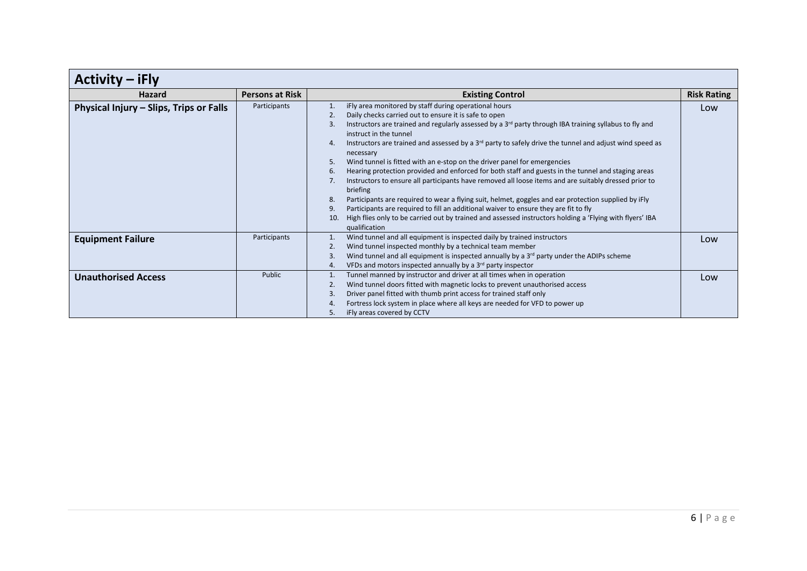| <b>Activity</b><br>iFly                 |                        |                                                                                                                                                                                                                                                                                                                                                                                                                                                                                                                                                                                                                                                                                                                                                                                                                                                                                                                                                                                                                                                                                   |                    |
|-----------------------------------------|------------------------|-----------------------------------------------------------------------------------------------------------------------------------------------------------------------------------------------------------------------------------------------------------------------------------------------------------------------------------------------------------------------------------------------------------------------------------------------------------------------------------------------------------------------------------------------------------------------------------------------------------------------------------------------------------------------------------------------------------------------------------------------------------------------------------------------------------------------------------------------------------------------------------------------------------------------------------------------------------------------------------------------------------------------------------------------------------------------------------|--------------------|
| <b>Hazard</b>                           | <b>Persons at Risk</b> | <b>Existing Control</b>                                                                                                                                                                                                                                                                                                                                                                                                                                                                                                                                                                                                                                                                                                                                                                                                                                                                                                                                                                                                                                                           | <b>Risk Rating</b> |
| Physical Injury - Slips, Trips or Falls | Participants           | iFly area monitored by staff during operational hours<br>2.<br>Daily checks carried out to ensure it is safe to open<br>Instructors are trained and regularly assessed by a 3rd party through IBA training syllabus to fly and<br>3.<br>instruct in the tunnel<br>Instructors are trained and assessed by a 3 <sup>rd</sup> party to safely drive the tunnel and adjust wind speed as<br>4.<br>necessary<br>Wind tunnel is fitted with an e-stop on the driver panel for emergencies<br>5.<br>Hearing protection provided and enforced for both staff and guests in the tunnel and staging areas<br>6.<br>Instructors to ensure all participants have removed all loose items and are suitably dressed prior to<br>7.<br>briefing<br>Participants are required to wear a flying suit, helmet, goggles and ear protection supplied by iFly<br>8.<br>Participants are required to fill an additional waiver to ensure they are fit to fly<br>9.<br>High flies only to be carried out by trained and assessed instructors holding a 'Flying with flyers' IBA<br>10.<br>qualification | Low                |
| <b>Equipment Failure</b>                | Participants           | Wind tunnel and all equipment is inspected daily by trained instructors<br>Wind tunnel inspected monthly by a technical team member<br>2.<br>Wind tunnel and all equipment is inspected annually by a 3 <sup>rd</sup> party under the ADIPs scheme<br>3.<br>VFDs and motors inspected annually by a 3 <sup>rd</sup> party inspector<br>4.                                                                                                                                                                                                                                                                                                                                                                                                                                                                                                                                                                                                                                                                                                                                         | Low                |
| <b>Unauthorised Access</b>              | Public                 | Tunnel manned by instructor and driver at all times when in operation<br>Wind tunnel doors fitted with magnetic locks to prevent unauthorised access<br>2.<br>Driver panel fitted with thumb print access for trained staff only<br>3.<br>Fortress lock system in place where all keys are needed for VFD to power up<br>4.<br>iFly areas covered by CCTV<br>5.                                                                                                                                                                                                                                                                                                                                                                                                                                                                                                                                                                                                                                                                                                                   | Low                |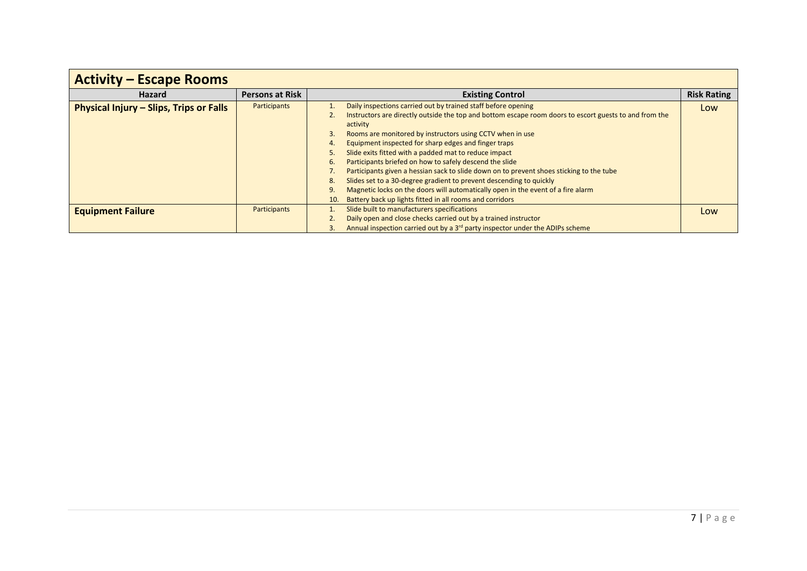| <b>Activity – Escape Rooms</b>          |                        |                                                                                                                                                                                                                                                                                                                                                                                                                                                                                                                                                                                                                                                                                                                                                                                            |                    |
|-----------------------------------------|------------------------|--------------------------------------------------------------------------------------------------------------------------------------------------------------------------------------------------------------------------------------------------------------------------------------------------------------------------------------------------------------------------------------------------------------------------------------------------------------------------------------------------------------------------------------------------------------------------------------------------------------------------------------------------------------------------------------------------------------------------------------------------------------------------------------------|--------------------|
| <b>Hazard</b>                           | <b>Persons at Risk</b> | <b>Existing Control</b>                                                                                                                                                                                                                                                                                                                                                                                                                                                                                                                                                                                                                                                                                                                                                                    | <b>Risk Rating</b> |
| Physical Injury - Slips, Trips or Falls | Participants           | Daily inspections carried out by trained staff before opening<br>Instructors are directly outside the top and bottom escape room doors to escort guests to and from the<br>activity<br>Rooms are monitored by instructors using CCTV when in use<br>3.<br>Equipment inspected for sharp edges and finger traps<br>4.<br>Slide exits fitted with a padded mat to reduce impact<br>5.<br>Participants briefed on how to safely descend the slide<br>6.<br>Participants given a hessian sack to slide down on to prevent shoes sticking to the tube<br>Slides set to a 30-degree gradient to prevent descending to quickly<br>8.<br>Magnetic locks on the doors will automatically open in the event of a fire alarm<br>9.<br>Battery back up lights fitted in all rooms and corridors<br>10. | Low                |
| <b>Equipment Failure</b>                | Participants           | Slide built to manufacturers specifications<br>Daily open and close checks carried out by a trained instructor<br>Annual inspection carried out by a 3 <sup>rd</sup> party inspector under the ADIPs scheme<br>3.                                                                                                                                                                                                                                                                                                                                                                                                                                                                                                                                                                          | Low                |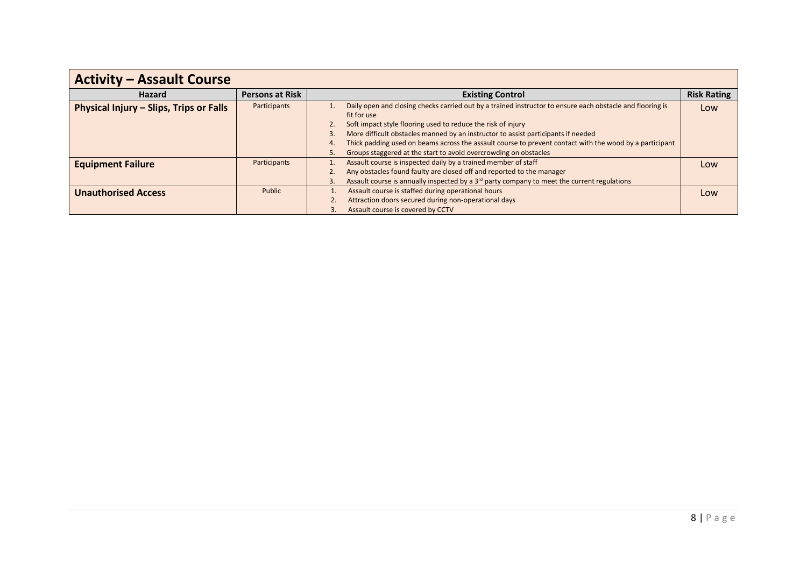| <b>Activity - Assault Course</b>        |                        |                                                                                                                                                                                                                                                                                                                                                                                                                                                                                |                    |
|-----------------------------------------|------------------------|--------------------------------------------------------------------------------------------------------------------------------------------------------------------------------------------------------------------------------------------------------------------------------------------------------------------------------------------------------------------------------------------------------------------------------------------------------------------------------|--------------------|
| <b>Hazard</b>                           | <b>Persons at Risk</b> | <b>Existing Control</b>                                                                                                                                                                                                                                                                                                                                                                                                                                                        | <b>Risk Rating</b> |
| Physical Injury - Slips, Trips or Falls | Participants           | Daily open and closing checks carried out by a trained instructor to ensure each obstacle and flooring is<br>fit for use<br>Soft impact style flooring used to reduce the risk of injury<br>2.<br>More difficult obstacles manned by an instructor to assist participants if needed<br>Thick padding used on beams across the assault course to prevent contact with the wood by a participant<br>4.<br>Groups staggered at the start to avoid overcrowding on obstacles<br>5. | Low                |
| <b>Equipment Failure</b>                | Participants           | Assault course is inspected daily by a trained member of staff<br>Any obstacles found faulty are closed off and reported to the manager<br>Assault course is annually inspected by a $3rd$ party company to meet the current regulations<br>3.                                                                                                                                                                                                                                 | Low                |
| <b>Unauthorised Access</b>              | Public                 | Assault course is staffed during operational hours<br>Attraction doors secured during non-operational days<br>Assault course is covered by CCTV                                                                                                                                                                                                                                                                                                                                | Low                |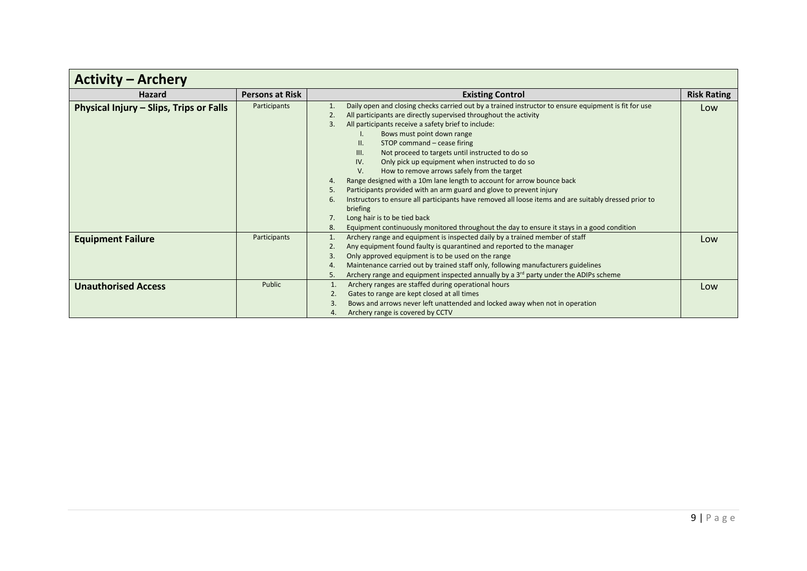| <b>Activity – Archery</b>               |                        |                                                                                                                                                                                                                                                                                                                                                                                                                                                                                                                                                                                                                                                                                                                                                                                                                                                                                                                      |                    |
|-----------------------------------------|------------------------|----------------------------------------------------------------------------------------------------------------------------------------------------------------------------------------------------------------------------------------------------------------------------------------------------------------------------------------------------------------------------------------------------------------------------------------------------------------------------------------------------------------------------------------------------------------------------------------------------------------------------------------------------------------------------------------------------------------------------------------------------------------------------------------------------------------------------------------------------------------------------------------------------------------------|--------------------|
| Hazard                                  | <b>Persons at Risk</b> | <b>Existing Control</b>                                                                                                                                                                                                                                                                                                                                                                                                                                                                                                                                                                                                                                                                                                                                                                                                                                                                                              | <b>Risk Rating</b> |
| Physical Injury - Slips, Trips or Falls | Participants           | Daily open and closing checks carried out by a trained instructor to ensure equipment is fit for use<br>2.<br>All participants are directly supervised throughout the activity<br>3.<br>All participants receive a safety brief to include:<br>Bows must point down range<br>STOP command - cease firing<br>II.<br>Not proceed to targets until instructed to do so<br>Ш.<br>IV.<br>Only pick up equipment when instructed to do so<br>V.<br>How to remove arrows safely from the target<br>Range designed with a 10m lane length to account for arrow bounce back<br>4.<br>Participants provided with an arm guard and glove to prevent injury<br>5.<br>Instructors to ensure all participants have removed all loose items and are suitably dressed prior to<br>6.<br>briefing<br>Long hair is to be tied back<br>Equipment continuously monitored throughout the day to ensure it stays in a good condition<br>8. | Low                |
| <b>Equipment Failure</b>                | Participants           | Archery range and equipment is inspected daily by a trained member of staff<br>1.<br>Any equipment found faulty is quarantined and reported to the manager<br>2.<br>Only approved equipment is to be used on the range<br>3.<br>Maintenance carried out by trained staff only, following manufacturers guidelines<br>4.<br>Archery range and equipment inspected annually by a 3 <sup>rd</sup> party under the ADIPs scheme<br>5.                                                                                                                                                                                                                                                                                                                                                                                                                                                                                    | Low                |
| <b>Unauthorised Access</b>              | Public                 | Archery ranges are staffed during operational hours<br>Gates to range are kept closed at all times<br>2.<br>Bows and arrows never left unattended and locked away when not in operation<br>3<br>Archery range is covered by CCTV<br>4.                                                                                                                                                                                                                                                                                                                                                                                                                                                                                                                                                                                                                                                                               | Low                |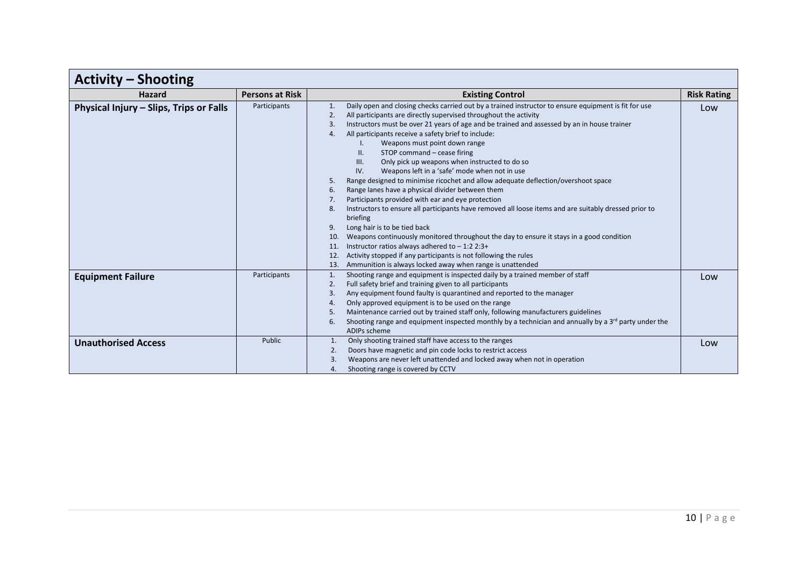| <b>Activity - Shooting</b>              |                        |                                                                                                                                                                                                                                                                                                                                                                                                                                                                                                                                                                                                                                                                                                                                                                                                                                                                                                                                                                                                                                                                                                                                                                                                                                           |                    |
|-----------------------------------------|------------------------|-------------------------------------------------------------------------------------------------------------------------------------------------------------------------------------------------------------------------------------------------------------------------------------------------------------------------------------------------------------------------------------------------------------------------------------------------------------------------------------------------------------------------------------------------------------------------------------------------------------------------------------------------------------------------------------------------------------------------------------------------------------------------------------------------------------------------------------------------------------------------------------------------------------------------------------------------------------------------------------------------------------------------------------------------------------------------------------------------------------------------------------------------------------------------------------------------------------------------------------------|--------------------|
| <b>Hazard</b>                           | <b>Persons at Risk</b> | <b>Existing Control</b>                                                                                                                                                                                                                                                                                                                                                                                                                                                                                                                                                                                                                                                                                                                                                                                                                                                                                                                                                                                                                                                                                                                                                                                                                   | <b>Risk Rating</b> |
| Physical Injury - Slips, Trips or Falls | Participants           | Daily open and closing checks carried out by a trained instructor to ensure equipment is fit for use<br>1.<br>All participants are directly supervised throughout the activity<br>2.<br>Instructors must be over 21 years of age and be trained and assessed by an in house trainer<br>3.<br>All participants receive a safety brief to include:<br>4.<br>Weapons must point down range<br>STOP command - cease firing<br>II.<br>Only pick up weapons when instructed to do so<br>III.<br>Weapons left in a 'safe' mode when not in use<br>IV.<br>Range designed to minimise ricochet and allow adequate deflection/overshoot space<br>5.<br>Range lanes have a physical divider between them<br>6.<br>Participants provided with ear and eye protection<br>7.<br>Instructors to ensure all participants have removed all loose items and are suitably dressed prior to<br>8.<br>briefing<br>9.<br>Long hair is to be tied back<br>Weapons continuously monitored throughout the day to ensure it stays in a good condition<br>10.<br>Instructor ratios always adhered to $-1:22:3+$<br>11.<br>Activity stopped if any participants is not following the rules<br>12.<br>Ammunition is always locked away when range is unattended<br>13. | Low                |
| <b>Equipment Failure</b>                | Participants           | Shooting range and equipment is inspected daily by a trained member of staff<br>1.<br>2.<br>Full safety brief and training given to all participants<br>Any equipment found faulty is quarantined and reported to the manager<br>3.<br>Only approved equipment is to be used on the range<br>4.<br>Maintenance carried out by trained staff only, following manufacturers guidelines<br>5.<br>Shooting range and equipment inspected monthly by a technician and annually by a 3 <sup>rd</sup> party under the<br>6.<br>ADIPs scheme                                                                                                                                                                                                                                                                                                                                                                                                                                                                                                                                                                                                                                                                                                      | Low                |
| <b>Unauthorised Access</b>              | Public                 | Only shooting trained staff have access to the ranges<br>1.<br>Doors have magnetic and pin code locks to restrict access<br>2.<br>Weapons are never left unattended and locked away when not in operation<br>3.<br>Shooting range is covered by CCTV<br>4.                                                                                                                                                                                                                                                                                                                                                                                                                                                                                                                                                                                                                                                                                                                                                                                                                                                                                                                                                                                | Low                |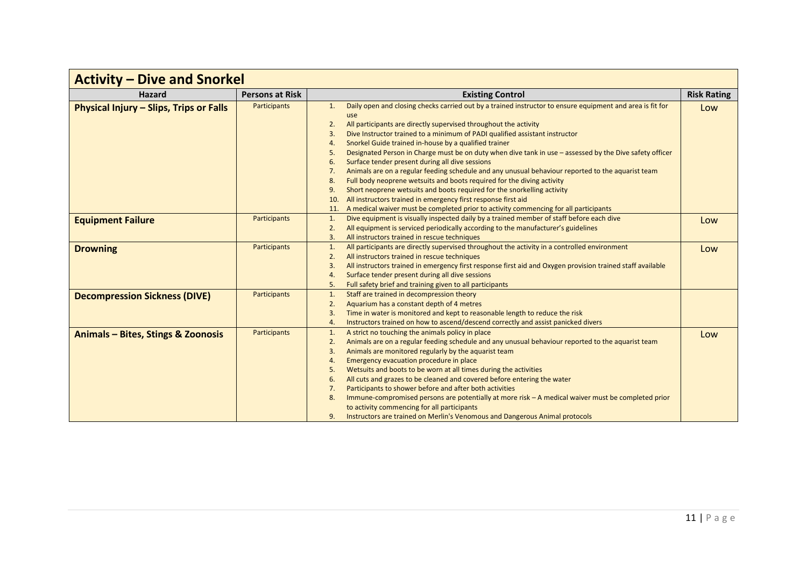| <b>Activity – Dive and Snorkel</b>      |                        |                                                                                                                                                                                                                                                                                                                                                                                                                                                                                                                                                                                                                                                                                                                                                                                                                                                                                                                                                                                  |                    |
|-----------------------------------------|------------------------|----------------------------------------------------------------------------------------------------------------------------------------------------------------------------------------------------------------------------------------------------------------------------------------------------------------------------------------------------------------------------------------------------------------------------------------------------------------------------------------------------------------------------------------------------------------------------------------------------------------------------------------------------------------------------------------------------------------------------------------------------------------------------------------------------------------------------------------------------------------------------------------------------------------------------------------------------------------------------------|--------------------|
| <b>Hazard</b>                           | <b>Persons at Risk</b> | <b>Existing Control</b>                                                                                                                                                                                                                                                                                                                                                                                                                                                                                                                                                                                                                                                                                                                                                                                                                                                                                                                                                          | <b>Risk Rating</b> |
| Physical Injury - Slips, Trips or Falls | <b>Participants</b>    | Daily open and closing checks carried out by a trained instructor to ensure equipment and area is fit for<br>1.<br>use<br>All participants are directly supervised throughout the activity<br>2.<br>Dive Instructor trained to a minimum of PADI qualified assistant instructor<br>3.<br>Snorkel Guide trained in-house by a qualified trainer<br>4.<br>Designated Person in Charge must be on duty when dive tank in use - assessed by the Dive safety officer<br>5.<br>Surface tender present during all dive sessions<br>6.<br>Animals are on a regular feeding schedule and any unusual behaviour reported to the aquarist team<br>7.<br>Full body neoprene wetsuits and boots required for the diving activity<br>8.<br>Short neoprene wetsuits and boots required for the snorkelling activity<br>9.<br>All instructors trained in emergency first response first aid<br>10.<br>A medical waiver must be completed prior to activity commencing for all participants<br>11 | Low                |
| <b>Equipment Failure</b>                | <b>Participants</b>    | Dive equipment is visually inspected daily by a trained member of staff before each dive<br>1.<br>All equipment is serviced periodically according to the manufacturer's guidelines<br>2.<br>All instructors trained in rescue techniques<br>3.                                                                                                                                                                                                                                                                                                                                                                                                                                                                                                                                                                                                                                                                                                                                  | Low                |
| <b>Drowning</b>                         | <b>Participants</b>    | All participants are directly supervised throughout the activity in a controlled environment<br>1.<br>All instructors trained in rescue techniques<br>2.<br>All instructors trained in emergency first response first aid and Oxygen provision trained staff available<br>3.<br>Surface tender present during all dive sessions<br>4.<br>5.<br>Full safety brief and training given to all participants                                                                                                                                                                                                                                                                                                                                                                                                                                                                                                                                                                          | Low                |
| <b>Decompression Sickness (DIVE)</b>    | <b>Participants</b>    | Staff are trained in decompression theory<br>1.<br>Aquarium has a constant depth of 4 metres<br>2.<br>Time in water is monitored and kept to reasonable length to reduce the risk<br>3.<br>Instructors trained on how to ascend/descend correctly and assist panicked divers<br>4.                                                                                                                                                                                                                                                                                                                                                                                                                                                                                                                                                                                                                                                                                               |                    |
| Animals - Bites, Stings & Zoonosis      | <b>Participants</b>    | A strict no touching the animals policy in place<br>1.<br>Animals are on a regular feeding schedule and any unusual behaviour reported to the aquarist team<br>2.<br>Animals are monitored regularly by the aquarist team<br>3.<br>Emergency evacuation procedure in place<br>4.<br>Wetsuits and boots to be worn at all times during the activities<br>5.<br>All cuts and grazes to be cleaned and covered before entering the water<br>6.<br>Participants to shower before and after both activities<br>7.<br>Immune-compromised persons are potentially at more risk - A medical waiver must be completed prior<br>8.<br>to activity commencing for all participants<br>9.<br>Instructors are trained on Merlin's Venomous and Dangerous Animal protocols                                                                                                                                                                                                                     | Low                |